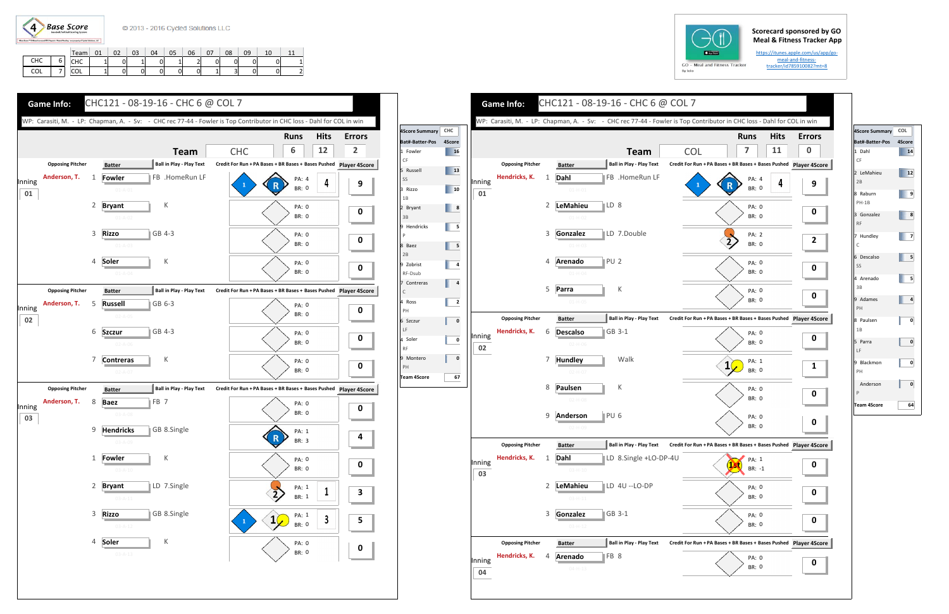

## **Scorecard sponsored by GO Meal & Fitness Tracker App**

https://itunes.apple.com/us/app/go‐ meal‐and‐fitness‐ tracker/id785910082?mt=8

|            |   | Team       | 01 | 02 | 03 | 04 | 05 | 06 | 07     | 08                             | 09 | 10 |  |
|------------|---|------------|----|----|----|----|----|----|--------|--------------------------------|----|----|--|
| <b>CHC</b> |   | CHC        |    |    | -  |    | -  |    | ⌒<br>ບ | 0                              | 0  |    |  |
| COL        | - | <b>COL</b> |    |    | 01 |    | ັ  |    | -      | $\overline{\phantom{0}}$<br>ات | 0  |    |  |







| 4Score Summary COL |        |
|--------------------|--------|
| Bat#-Batter-Pos    | 4Score |
| 1 Dahl             | 14     |
| CF                 |        |
| 2 LeMahieu         | 12     |
| 2B                 |        |
| 8 Raburn           | 9      |
| $PH-1B$            |        |
| 3 Gonzalez         | 8      |
| <b>RF</b>          |        |
| 7 Hundley          | 7      |
| C                  |        |
| 6 Descalso         | 5      |
| SS                 |        |
| 4 Arenado          | 5      |
| 3B                 |        |
| 9 Adames           | 4      |
| PH                 |        |
| 8 Paulsen          | 0      |
| 1B                 |        |
| 5 Parra            | 0      |
| LF                 |        |
| 9 Blackmon         | 0      |
| PH                 |        |
| Anderson           | 0      |
| P                  |        |
| Team 4Score        | 64     |
|                    |        |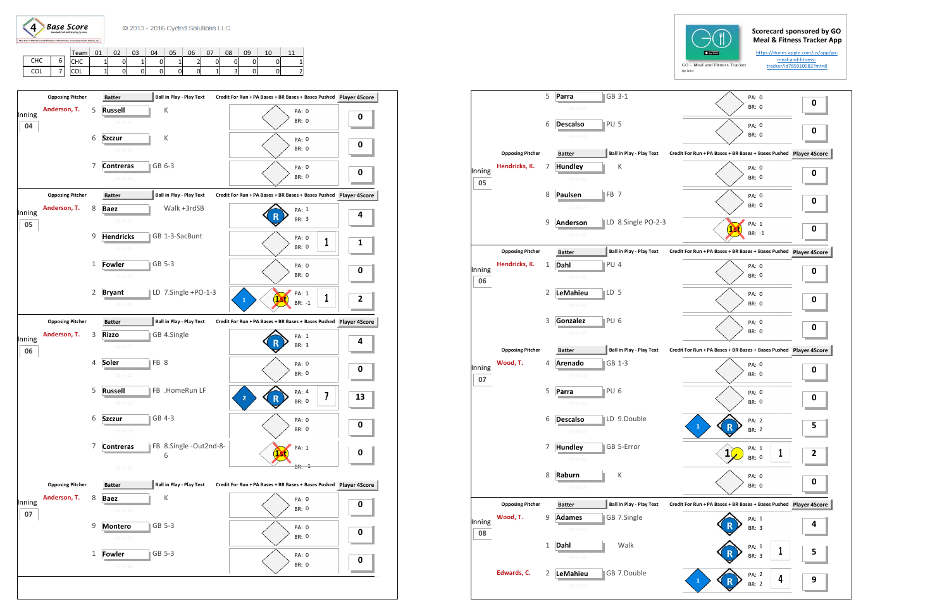

|     |   | Team       | 01 | 02 | 03 | 04 | 05 | 06 | 07 | 08 | 09 | 10 |  |
|-----|---|------------|----|----|----|----|----|----|----|----|----|----|--|
| CHC | - | <b>CHC</b> |    | 0  | -  |    |    |    | 0  | 0  | 0  |    |  |
| COL | - | <b>COL</b> |    | 0  | 0  |    | 0  |    | -  | C  | 0  |    |  |





|              |                         | 5 | GB 3-1<br>Parra<br>$04 - H - 14$   |                                 |                                                               | PA: 0<br>BR: 0        | 0         |
|--------------|-------------------------|---|------------------------------------|---------------------------------|---------------------------------------------------------------|-----------------------|-----------|
|              |                         | 6 | PU <sub>5</sub><br><b>Descalso</b> |                                 |                                                               | PA: 0<br><b>BR: 0</b> | 0         |
|              |                         |   | $04 - H - 15$                      |                                 |                                                               |                       |           |
|              | <b>Opposing Pitcher</b> |   | <b>Batter</b>                      | <b>Ball in Play - Play Text</b> | Credit For Run + PA Bases + BR Bases + Bases Pushed           |                       | Player 4S |
| Inning       | Hendricks, K.           | 7 | <b>Hundley</b>                     | К                               |                                                               | PA: 0                 | 0         |
| 05           |                         |   | $05 - H - 16$                      |                                 |                                                               | BR: 0                 |           |
|              |                         | 8 | Paulsen<br>FB <sub>7</sub>         |                                 |                                                               | PA: 0                 | 0         |
|              |                         |   | $05-H-17$                          |                                 |                                                               | BR: 0                 |           |
|              |                         | 9 | <b>Anderson</b>                    | LD 8.Single PO-2-3              |                                                               | PA: 1                 |           |
|              |                         |   | $05 - H - 18$                      |                                 |                                                               | $BR: -1$              | 0         |
|              | <b>Opposing Pitcher</b> |   |                                    | <b>Ball in Play - Play Text</b> | Credit For Run + PA Bases + BR Bases + Bases Pushed Player 4S |                       |           |
|              | Hendricks, K.           |   | <b>Batter</b><br>PU <sub>4</sub>   |                                 |                                                               |                       |           |
| Inning       |                         | 1 | Dahl                               |                                 |                                                               | PA: 0<br><b>BR: 0</b> | 0         |
| 06           |                         |   | $06 - H - 19$                      |                                 |                                                               |                       |           |
|              |                         | 2 | LeMahieu<br>LD 5                   |                                 |                                                               | PA: 0                 | 0         |
|              |                         |   | $06 - H - 20$                      |                                 |                                                               | <b>BR: 0</b>          |           |
|              |                         | 3 | PU <sub>6</sub><br>Gonzalez        |                                 |                                                               | PA: 0                 | 0         |
|              |                         |   | $06-H-21$                          |                                 |                                                               | BR: 0                 |           |
|              | <b>Opposing Pitcher</b> |   | <b>Batter</b>                      | <b>Ball in Play - Play Text</b> | Credit For Run + PA Bases + BR Bases + Bases Pushed Player 49 |                       |           |
|              | Wood, T.                | 4 | GB 1-3<br><b>Arenado</b>           |                                 |                                                               | PA: 0                 |           |
| Inning       |                         |   | $07-H-22$                          |                                 |                                                               | <b>BR: 0</b>          | 0         |
| 07           |                         | 5 | PU <sub>6</sub><br>Parra           |                                 |                                                               |                       |           |
|              |                         |   | $07 - H - 23$                      |                                 |                                                               | PA: 0<br><b>BR: 0</b> | 0         |
|              |                         |   |                                    |                                 |                                                               |                       |           |
|              |                         | 6 | <b>Descalso</b>                    | LD 9.Double                     | n                                                             | PA: 2                 | 5         |
|              |                         |   | $07 - H - 24$                      |                                 |                                                               | BR: 2                 |           |
|              |                         | 7 | <b>Hundley</b>                     | GB 5-Error                      | 1                                                             | PA: 1<br>1            | 2         |
|              |                         |   | $07 - H - 25$                      |                                 |                                                               | BR: 0                 |           |
|              |                         | 8 | Raburn                             | К                               |                                                               | PA: 0                 |           |
|              |                         |   | $07-H-26$                          |                                 |                                                               | <b>BR: 0</b>          | 0         |
|              | <b>Opposing Pitcher</b> |   | <b>Batter</b>                      | <b>Ball in Play - Play Text</b> | Credit For Run + PA Bases + BR Bases + Bases Pushed Player 4S |                       |           |
|              | Wood, T.                | 9 | <b>Adames</b>                      | GB 7.Single                     |                                                               | PA: 1                 |           |
| Inning<br>08 |                         |   | 08-H-27                            |                                 |                                                               | BR: 3                 | 4         |
|              |                         | 1 | Dahl                               | Walk                            |                                                               |                       |           |
|              |                         |   | $08-H-28$                          |                                 |                                                               | PA: 1<br>1<br>BR: 3   | 5         |
|              |                         |   |                                    |                                 |                                                               |                       |           |
|              | Edwards, C.             | 2 | LeMahieu                           | GB 7.Double                     | $\mathbf{1}$                                                  | PA: 2<br>4            | 9         |
|              |                         |   | 08-H-29                            |                                 |                                                               | BR: 2                 |           |
|              |                         |   |                                    |                                 |                                                               |                       |           |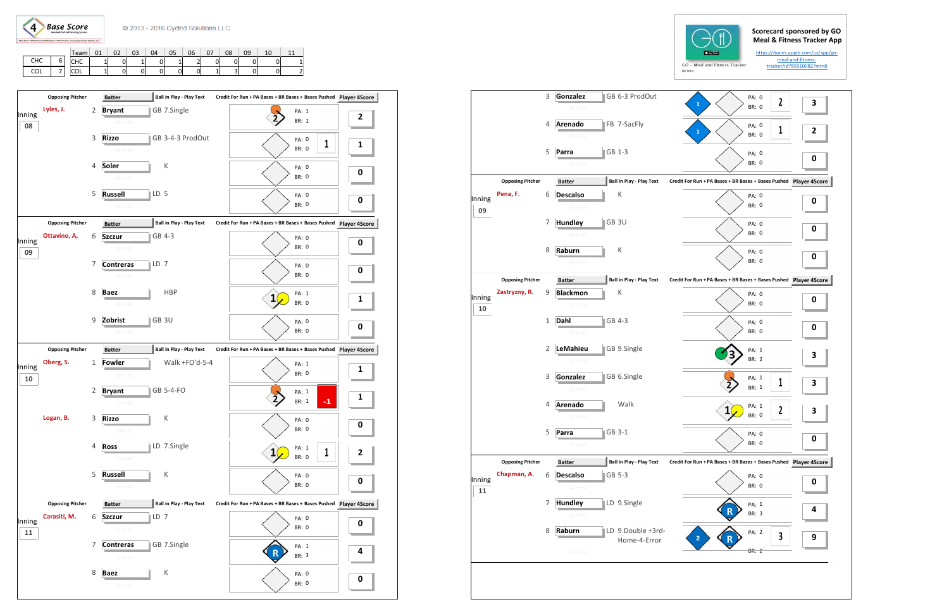**Base Score**  $\left(4\right)$ 

|            |             | Team       | 01 | 02 | 03 | 04 | 05 | 06 | 07 | 08 | 09 | 10 |  |
|------------|-------------|------------|----|----|----|----|----|----|----|----|----|----|--|
| <b>CHC</b> | -<br>n<br>ບ | снс        | -  | 0  |    | 0  | -  |    | 0  | ∩  | 0  | υ  |  |
| COL        | -           | <b>COL</b> | -  | 0  | 0  | 0  | 0  | 0  |    | ັ  | 0  | 0  |  |





|              |                         | $\ensuremath{\mathsf{3}}$ | Gonzalez                  | GB 6-3 ProdOut                  | PA: 0<br>$\mathbf{2}$<br>$\mathbf{1}$                         | 3           |
|--------------|-------------------------|---------------------------|---------------------------|---------------------------------|---------------------------------------------------------------|-------------|
|              |                         |                           | 08-H-30                   |                                 | <b>BR: 0</b>                                                  |             |
|              |                         | 4                         | Arenado<br>08-H-31        | FB 7-SacFly                     | PA: 0<br>1<br>1<br><b>BR: 0</b>                               | 2           |
|              |                         | 5                         | GB 1-3<br>Parra           |                                 | PA: 0                                                         | 0           |
|              |                         |                           | 08-H-32                   |                                 | <b>BR: 0</b>                                                  |             |
|              | <b>Opposing Pitcher</b> |                           | <b>Batter</b>             | <b>Ball in Play - Play Text</b> | Credit For Run + PA Bases + BR Bases + Bases Pushed           | Player 49   |
| Inning       | Pena, F.                | 6                         | <b>Descalso</b>           | Κ                               | PA: 0                                                         | 0           |
| 09           |                         |                           | 09-H-33                   |                                 | <b>BR: 0</b>                                                  |             |
|              |                         | 7                         | GB 3U<br><b>Hundley</b>   |                                 | PA: 0                                                         | $\mathbf 0$ |
|              |                         |                           | $09 - H - 34$             |                                 | <b>BR: 0</b>                                                  |             |
|              |                         | 8                         | Raburn                    | К                               | PA: 0                                                         |             |
|              |                         |                           | 09-H-35                   |                                 | <b>BR: 0</b>                                                  | $\mathbf 0$ |
|              | <b>Opposing Pitcher</b> |                           | <b>Batter</b>             | <b>Ball in Play - Play Text</b> | Credit For Run + PA Bases + BR Bases + Bases Pushed Player 4S |             |
| Inning       | Zastryzny, R.           | 9                         | <b>Blackmon</b>           | К                               | PA: 0                                                         |             |
| 10           |                         |                           | $10-H-36$                 |                                 | <b>BR: 0</b>                                                  | 0           |
|              |                         | $\mathbf{1}$              | GB 4-3<br>Dahl            |                                 | PA: 0                                                         |             |
|              |                         |                           | $10-H-37$                 |                                 | <b>BR: 0</b>                                                  | 0           |
|              |                         | $\overline{2}$            | LeMahieu                  | GB 9.Single                     | PA: 1                                                         |             |
|              |                         |                           | $10 - H - 38$             |                                 | BR: 2                                                         | 3           |
|              |                         | 3                         | Gonzalez                  | GB 6.Single                     | PA: 1                                                         |             |
|              |                         |                           | $10 - H - 39$             |                                 | 1<br>BR: 1                                                    | 3           |
|              |                         | 4                         | Arenado                   | Walk                            | PA: 1                                                         |             |
|              |                         |                           | $10 - H - 40$             |                                 | 2<br><b>BR: 0</b>                                             | З           |
|              |                         | 5                         | GB 3-1<br>Parra           |                                 | PA: 0                                                         |             |
|              |                         |                           | $10 - H - 41$             |                                 | <b>BR: 0</b>                                                  | 0           |
|              | <b>Opposing Pitcher</b> |                           | <b>Batter</b>             | <b>Ball in Play - Play Text</b> | Credit For Run + PA Bases + BR Bases + Bases Pushed Player 4S |             |
|              | Chapman, A.             | 6                         | <b>Descalso</b><br>GB 5-3 |                                 | PA: 0                                                         |             |
| Inning<br>11 |                         |                           | $11 - H - 42$             |                                 | BR: 0                                                         | 0           |
|              |                         | 7                         | <b>Hundley</b>            | LD 9.Single                     | PA: 1                                                         |             |
|              |                         |                           | $11 - H - 43$             |                                 | BR: 3                                                         | 4           |
|              |                         | 8                         | Raburn                    | LD 9.Double +3rd-               | PA: 2                                                         |             |
|              |                         |                           |                           | Home-4-Error                    | 3<br>2                                                        | 9           |
|              |                         |                           | $11 - H - 44$             |                                 | <b>BR: 2</b>                                                  |             |